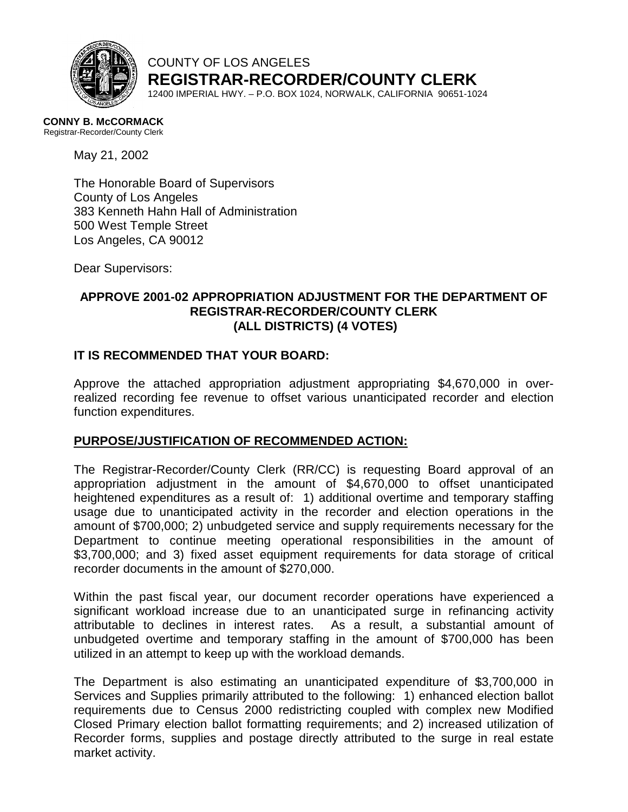

COUNTY OF LOS ANGELES **REGISTRAR-RECORDER/COUNTY CLERK**

12400 IMPERIAL HWY. – P.O. BOX 1024, NORWALK, CALIFORNIA 90651-1024

#### **CONNY B. McCORMACK**

Registrar-Recorder/County Clerk

May 21, 2002

The Honorable Board of Supervisors County of Los Angeles 383 Kenneth Hahn Hall of Administration 500 West Temple Street Los Angeles, CA 90012

Dear Supervisors:

# **APPROVE 2001-02 APPROPRIATION ADJUSTMENT FOR THE DEPARTMENT OF REGISTRAR-RECORDER/COUNTY CLERK (ALL DISTRICTS) (4 VOTES)**

### **IT IS RECOMMENDED THAT YOUR BOARD:**

Approve the attached appropriation adjustment appropriating \$4,670,000 in overrealized recording fee revenue to offset various unanticipated recorder and election function expenditures.

#### **PURPOSE/JUSTIFICATION OF RECOMMENDED ACTION:**

The Registrar-Recorder/County Clerk (RR/CC) is requesting Board approval of an appropriation adjustment in the amount of \$4,670,000 to offset unanticipated heightened expenditures as a result of: 1) additional overtime and temporary staffing usage due to unanticipated activity in the recorder and election operations in the amount of \$700,000; 2) unbudgeted service and supply requirements necessary for the Department to continue meeting operational responsibilities in the amount of \$3,700,000; and 3) fixed asset equipment requirements for data storage of critical recorder documents in the amount of \$270,000.

Within the past fiscal year, our document recorder operations have experienced a significant workload increase due to an unanticipated surge in refinancing activity attributable to declines in interest rates. As a result, a substantial amount of unbudgeted overtime and temporary staffing in the amount of \$700,000 has been utilized in an attempt to keep up with the workload demands.

The Department is also estimating an unanticipated expenditure of \$3,700,000 in Services and Supplies primarily attributed to the following: 1) enhanced election ballot requirements due to Census 2000 redistricting coupled with complex new Modified Closed Primary election ballot formatting requirements; and 2) increased utilization of Recorder forms, supplies and postage directly attributed to the surge in real estate market activity.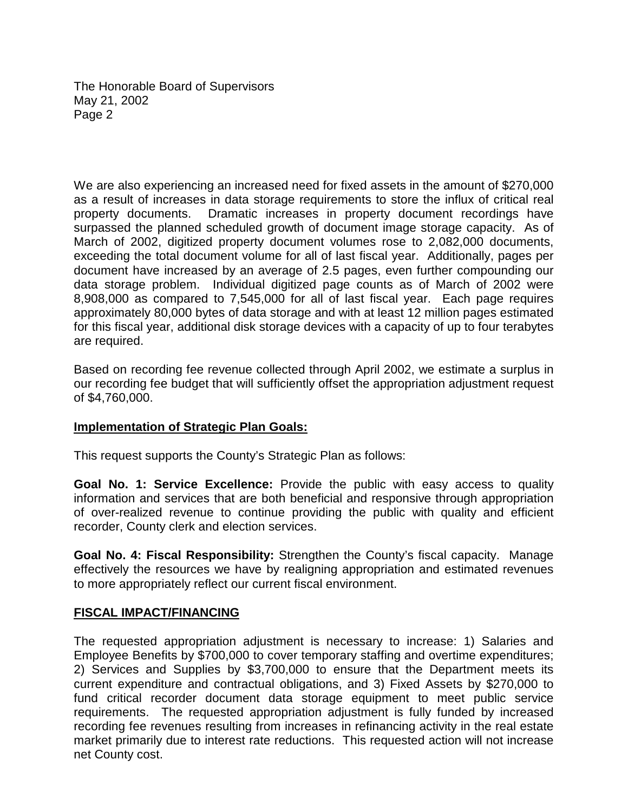The Honorable Board of Supervisors May 21, 2002 Page 2

We are also experiencing an increased need for fixed assets in the amount of \$270,000 as a result of increases in data storage requirements to store the influx of critical real property documents. Dramatic increases in property document recordings have surpassed the planned scheduled growth of document image storage capacity. As of March of 2002, digitized property document volumes rose to 2,082,000 documents, exceeding the total document volume for all of last fiscal year. Additionally, pages per document have increased by an average of 2.5 pages, even further compounding our data storage problem. Individual digitized page counts as of March of 2002 were 8,908,000 as compared to 7,545,000 for all of last fiscal year. Each page requires approximately 80,000 bytes of data storage and with at least 12 million pages estimated for this fiscal year, additional disk storage devices with a capacity of up to four terabytes are required.

Based on recording fee revenue collected through April 2002, we estimate a surplus in our recording fee budget that will sufficiently offset the appropriation adjustment request of \$4,760,000.

# **Implementation of Strategic Plan Goals:**

This request supports the County's Strategic Plan as follows:

**Goal No. 1: Service Excellence:** Provide the public with easy access to quality information and services that are both beneficial and responsive through appropriation of over-realized revenue to continue providing the public with quality and efficient recorder, County clerk and election services.

**Goal No. 4: Fiscal Responsibility:** Strengthen the County's fiscal capacity. Manage effectively the resources we have by realigning appropriation and estimated revenues to more appropriately reflect our current fiscal environment.

# **FISCAL IMPACT/FINANCING**

The requested appropriation adjustment is necessary to increase: 1) Salaries and Employee Benefits by \$700,000 to cover temporary staffing and overtime expenditures; 2) Services and Supplies by \$3,700,000 to ensure that the Department meets its current expenditure and contractual obligations, and 3) Fixed Assets by \$270,000 to fund critical recorder document data storage equipment to meet public service requirements. The requested appropriation adjustment is fully funded by increased recording fee revenues resulting from increases in refinancing activity in the real estate market primarily due to interest rate reductions. This requested action will not increase net County cost.